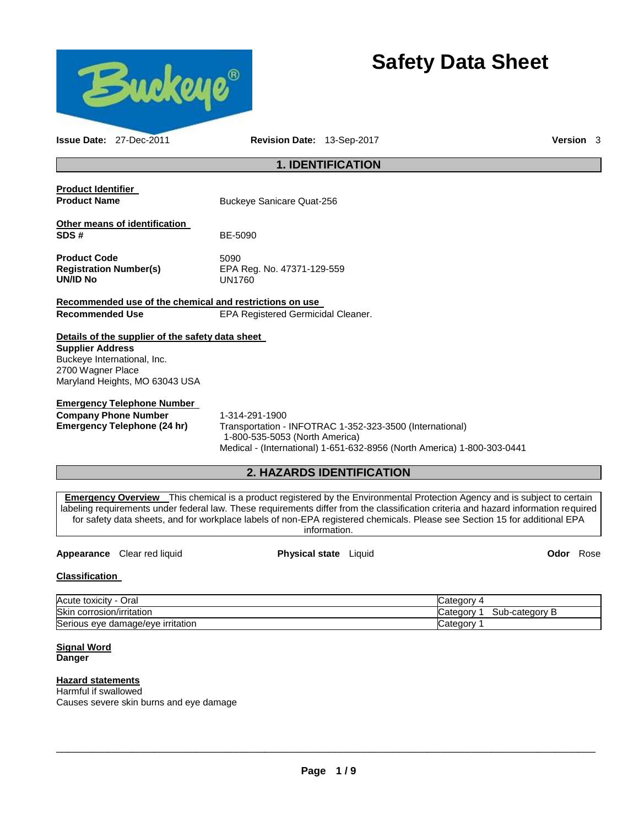

# **Safety Data Sheet**

| <b>Issue Date: 27-Dec-2011</b>                                                                                                                                    | Revision Date: 13-Sep-2017                          |                                                                                                                                     | <b>Version</b> 3 |  |
|-------------------------------------------------------------------------------------------------------------------------------------------------------------------|-----------------------------------------------------|-------------------------------------------------------------------------------------------------------------------------------------|------------------|--|
| <b>1. IDENTIFICATION</b>                                                                                                                                          |                                                     |                                                                                                                                     |                  |  |
| <b>Product Identifier</b><br><b>Product Name</b>                                                                                                                  | Buckeye Sanicare Quat-256                           |                                                                                                                                     |                  |  |
| Other means of identification<br>SDS#                                                                                                                             | BE-5090                                             |                                                                                                                                     |                  |  |
| <b>Product Code</b><br><b>Registration Number(s)</b><br><b>UN/ID No</b>                                                                                           | 5090<br>EPA Reg. No. 47371-129-559<br><b>UN1760</b> |                                                                                                                                     |                  |  |
| Recommended use of the chemical and restrictions on use                                                                                                           |                                                     |                                                                                                                                     |                  |  |
| <b>Recommended Use</b>                                                                                                                                            | <b>EPA Registered Germicidal Cleaner.</b>           |                                                                                                                                     |                  |  |
| Details of the supplier of the safety data sheet<br><b>Supplier Address</b><br>Buckeye International, Inc.<br>2700 Wagner Place<br>Maryland Heights, MO 63043 USA |                                                     |                                                                                                                                     |                  |  |
| <b>Emergency Telephone Number</b><br><b>Company Phone Number</b><br>Emergency Telephone (24 hr)                                                                   | 1-314-291-1900<br>1-800-535-5053 (North America)    | Transportation - INFOTRAC 1-352-323-3500 (International)<br>Medical - (International) 1-651-632-8956 (North America) 1-800-303-0441 |                  |  |
|                                                                                                                                                                   |                                                     | <b>2. HAZARDS IDENTIFICATION</b>                                                                                                    |                  |  |
| $-1$                                                                                                                                                              |                                                     |                                                                                                                                     |                  |  |

**Emergency Overview** This chemical is a product registered by the Environmental Protection Agency and is subject to certain labeling requirements under federal law. These requirements differ from the classification criteria and hazard information required for safety data sheets, and for workplace labels of non-EPA registered chemicals. Please see Section 15 for additional EPA information.

# **Appearance** Clear red liquid **Physical state** Liquid **Odor** Rose

### **Classification**

| Acute toxicity<br>Oral<br>$\overline{\phantom{a}}$ | ategorٽ <b>_</b>                    |
|----------------------------------------------------|-------------------------------------|
| <b>Skir</b><br>corrosion/irritation                | Sub-category<br>Categor<br>. .<br>P |
| Serious eye damage/eye irritation                  | ateαorv                             |

#### **Signal Word Danger**

#### **Hazard statements**

Harmful if swallowed Causes severe skin burns and eye damage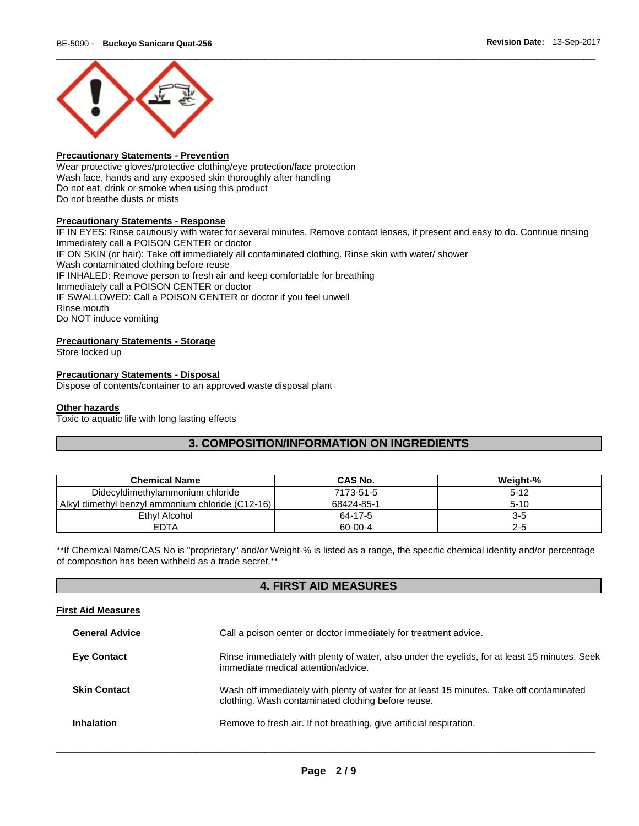

#### **Precautionary Statements - Prevention**

Wear protective gloves/protective clothing/eye protection/face protection Wash face, hands and any exposed skin thoroughly after handling Do not eat, drink or smoke when using this product Do not breathe dusts or mists

#### **Precautionary Statements - Response**

IF IN EYES: Rinse cautiously with water for several minutes. Remove contact lenses, if present and easy to do. Continue rinsing Immediately call a POISON CENTER or doctor IF ON SKIN (or hair): Take off immediately all contaminated clothing. Rinse skin with water/ shower Wash contaminated clothing before reuse IF INHALED: Remove person to fresh air and keep comfortable for breathing Immediately call a POISON CENTER or doctor IF SWALLOWED: Call a POISON CENTER or doctor if you feel unwell Rinse mouth Do NOT induce vomiting

### **Precautionary Statements - Storage**

Store locked up

#### **Precautionary Statements - Disposal**

Dispose of contents/container to an approved waste disposal plant

### **Other hazards**

Toxic to aquatic life with long lasting effects

# **3. COMPOSITION/INFORMATION ON INGREDIENTS**

| <b>Chemical Name</b>                             | <b>CAS No.</b> | Weight-% |
|--------------------------------------------------|----------------|----------|
| Didecyldimethylammonium chloride                 | 7173-51-5      | $5-12$   |
| Alkyl dimethyl benzyl ammonium chloride (C12-16) | 68424-85-1     | $5-10$   |
| Ethyl Alcohol                                    | 64-17-5        | 3-5      |
| <b>EDTA</b>                                      | 60-00-4        | $2 - 5$  |

\*\*If Chemical Name/CAS No is "proprietary" and/or Weight-% is listed as a range, the specific chemical identity and/or percentage of composition has been withheld as a trade secret.\*\*

# **4. FIRST AID MEASURES**

#### **First Aid Measures**

| <b>General Advice</b> | Call a poison center or doctor immediately for treatment advice.                                                                               |
|-----------------------|------------------------------------------------------------------------------------------------------------------------------------------------|
| <b>Eye Contact</b>    | Rinse immediately with plenty of water, also under the eyelids, for at least 15 minutes. Seek<br>immediate medical attention/advice.           |
| <b>Skin Contact</b>   | Wash off immediately with plenty of water for at least 15 minutes. Take off contaminated<br>clothing. Wash contaminated clothing before reuse. |
| Inhalation            | Remove to fresh air. If not breathing, give artificial respiration.                                                                            |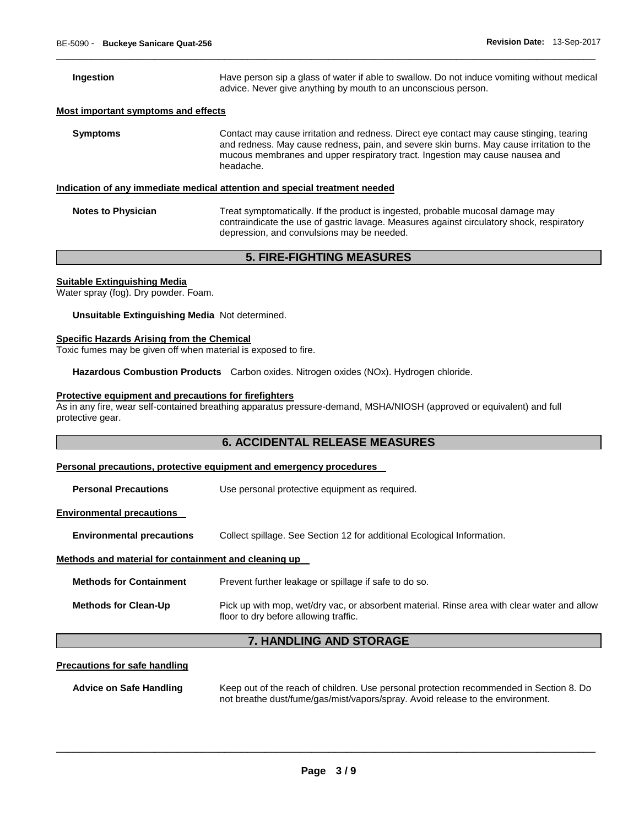**Ingestion Have person sip a glass of water if able to swallow. Do not induce vomiting without medical** advice. Never give anything by mouth to an unconscious person.

#### **Most important symptoms and effects**

**Symptoms Contact may cause irritation and redness. Direct eye contact may cause stinging, tearing** and redness. May cause redness, pain, and severe skin burns. May cause irritation to the mucous membranes and upper respiratory tract. Ingestion may cause nausea and headache.

\_\_\_\_\_\_\_\_\_\_\_\_\_\_\_\_\_\_\_\_\_\_\_\_\_\_\_\_\_\_\_\_\_\_\_\_\_\_\_\_\_\_\_\_\_\_\_\_\_\_\_\_\_\_\_\_\_\_\_\_\_\_\_\_\_\_\_\_\_\_\_\_\_\_\_\_\_\_\_\_\_\_\_\_\_\_\_\_\_\_\_\_\_

#### **Indication of any immediate medical attention and special treatment needed**

**Notes to Physician Treat symptomatically. If the product is ingested, probable mucosal damage may** contraindicate the use of gastric lavage. Measures against circulatory shock, respiratory depression, and convulsions may be needed.

## **5. FIRE-FIGHTING MEASURES**

#### **Suitable Extinguishing Media**

Water spray (fog). Dry powder. Foam.

**Unsuitable Extinguishing Media** Not determined.

#### **Specific Hazards Arising from the Chemical**

Toxic fumes may be given off when material is exposed to fire.

**Hazardous Combustion Products** Carbon oxides. Nitrogen oxides (NOx). Hydrogen chloride.

#### **Protective equipment and precautions for firefighters**

As in any fire, wear self-contained breathing apparatus pressure-demand, MSHA/NIOSH (approved or equivalent) and full protective gear.

# **6. ACCIDENTAL RELEASE MEASURES**

#### **Personal precautions, protective equipment and emergency procedures**

**Personal Precautions Use personal protective equipment as required.** 

#### **Environmental precautions**

**Environmental precautions** Collect spillage. See Section 12 for additional Ecological Information.

#### **Methods and material for containment and cleaning up**

| <b>Methods for Containment</b> | Prevent further leakage or spillage if safe to do so.                                                                                |
|--------------------------------|--------------------------------------------------------------------------------------------------------------------------------------|
| <b>Methods for Clean-Up</b>    | Pick up with mop, wet/dry vac, or absorbent material. Rinse area with clear water and allow<br>floor to dry before allowing traffic. |

# **7. HANDLING AND STORAGE**

#### **Precautions for safe handling**

**Advice on Safe Handling** Keep out of the reach of children. Use personal protection recommended in Section 8. Do not breathe dust/fume/gas/mist/vapors/spray. Avoid release to the environment.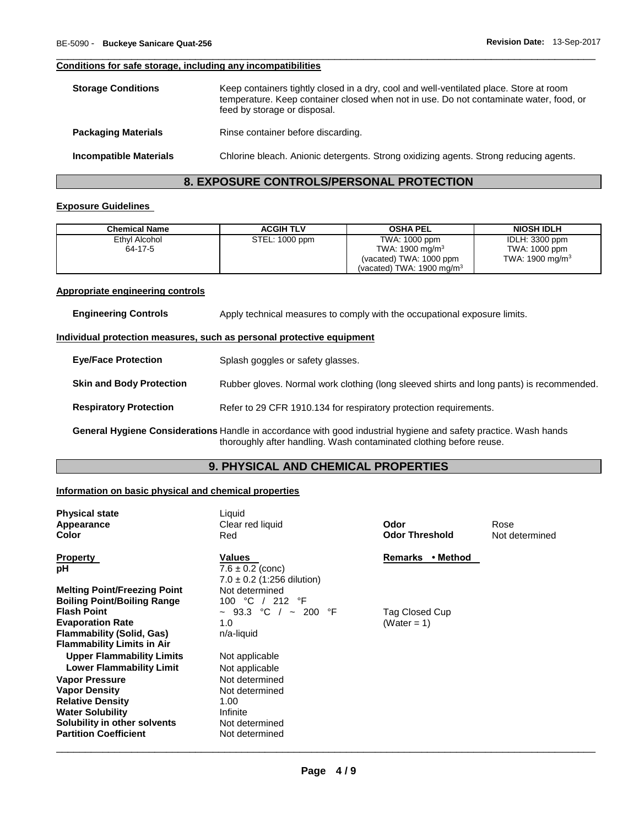#### **Conditions for safe storage, including any incompatibilities**

| <b>Storage Conditions</b>     | Keep containers tightly closed in a dry, cool and well-ventilated place. Store at room<br>temperature. Keep container closed when not in use. Do not contaminate water, food, or<br>feed by storage or disposal. |
|-------------------------------|------------------------------------------------------------------------------------------------------------------------------------------------------------------------------------------------------------------|
| <b>Packaging Materials</b>    | Rinse container before discarding.                                                                                                                                                                               |
| <b>Incompatible Materials</b> | Chlorine bleach. Anionic detergents. Strong oxidizing agents. Strong reducing agents.                                                                                                                            |

\_\_\_\_\_\_\_\_\_\_\_\_\_\_\_\_\_\_\_\_\_\_\_\_\_\_\_\_\_\_\_\_\_\_\_\_\_\_\_\_\_\_\_\_\_\_\_\_\_\_\_\_\_\_\_\_\_\_\_\_\_\_\_\_\_\_\_\_\_\_\_\_\_\_\_\_\_\_\_\_\_\_\_\_\_\_\_\_\_\_\_\_\_

# **8. EXPOSURE CONTROLS/PERSONAL PROTECTION**

### **Exposure Guidelines**

| <b>Chemical Name</b> | <b>ACGIH TLV</b> | <b>OSHA PEL</b>                      | <b>NIOSH IDLH</b>  |
|----------------------|------------------|--------------------------------------|--------------------|
| Ethyl Alcohol        | STEL: 1000 ppm   | TWA: 1000 ppm                        | IDLH: 3300 ppm     |
| 64-17-5              |                  | TWA: $1900 \text{ mg/m}^3$           | TWA: 1000 ppm      |
|                      |                  | (vacated) TWA: 1000 ppm              | TWA: 1900 mg/m $3$ |
|                      |                  | (vacated) TWA: $1900 \text{ mg/m}^3$ |                    |

#### **Appropriate engineering controls**

| <b>Engineering Controls</b>     | Apply technical measures to comply with the occupational exposure limits.                                       |  |
|---------------------------------|-----------------------------------------------------------------------------------------------------------------|--|
|                                 | Individual protection measures, such as personal protective equipment                                           |  |
| <b>Eye/Face Protection</b>      | Splash goggles or safety glasses.                                                                               |  |
| <b>Skin and Body Protection</b> | Rubber gloves. Normal work clothing (long sleeved shirts and long pants) is recommended.                        |  |
| <b>Respiratory Protection</b>   | Refer to 29 CFR 1910.134 for respiratory protection requirements.                                               |  |
|                                 | General Hygiene Considerations Handle in accordance with good industrial hygiene and safety practice Wash hands |  |

**General Hygiene Considerations** Handle in accordance with good industrial hygiene and safety practice. Wash hands thoroughly after handling. Wash contaminated clothing before reuse.

# **9. PHYSICAL AND CHEMICAL PROPERTIES**

### **Information on basic physical and chemical properties**

| <b>Physical state</b>               | Liquid                         |                       |                |
|-------------------------------------|--------------------------------|-----------------------|----------------|
| Appearance                          | Clear red liquid               | Odor                  | Rose           |
| Color                               | Red                            | <b>Odor Threshold</b> | Not determined |
| <b>Property</b>                     | <b>Values</b>                  | • Method<br>Remarks   |                |
| рH                                  | $7.6 \pm 0.2$ (conc)           |                       |                |
|                                     | $7.0 \pm 0.2$ (1:256 dilution) |                       |                |
| <b>Melting Point/Freezing Point</b> | Not determined                 |                       |                |
| <b>Boiling Point/Boiling Range</b>  | 100 °C / 212 °F                |                       |                |
| <b>Flash Point</b>                  | $\sim$ 93.3 °C / $\sim$ 200 °F | Tag Closed Cup        |                |
| <b>Evaporation Rate</b>             | 1.0                            | (Water = 1)           |                |
| Flammability (Solid, Gas)           | n/a-liquid                     |                       |                |
| <b>Flammability Limits in Air</b>   |                                |                       |                |
| <b>Upper Flammability Limits</b>    | Not applicable                 |                       |                |
| <b>Lower Flammability Limit</b>     | Not applicable                 |                       |                |
| <b>Vapor Pressure</b>               | Not determined                 |                       |                |
| <b>Vapor Density</b>                | Not determined                 |                       |                |
| <b>Relative Density</b>             | 1.00                           |                       |                |
| <b>Water Solubility</b>             | Infinite                       |                       |                |
| Solubility in other solvents        | Not determined                 |                       |                |
| <b>Partition Coefficient</b>        | Not determined                 |                       |                |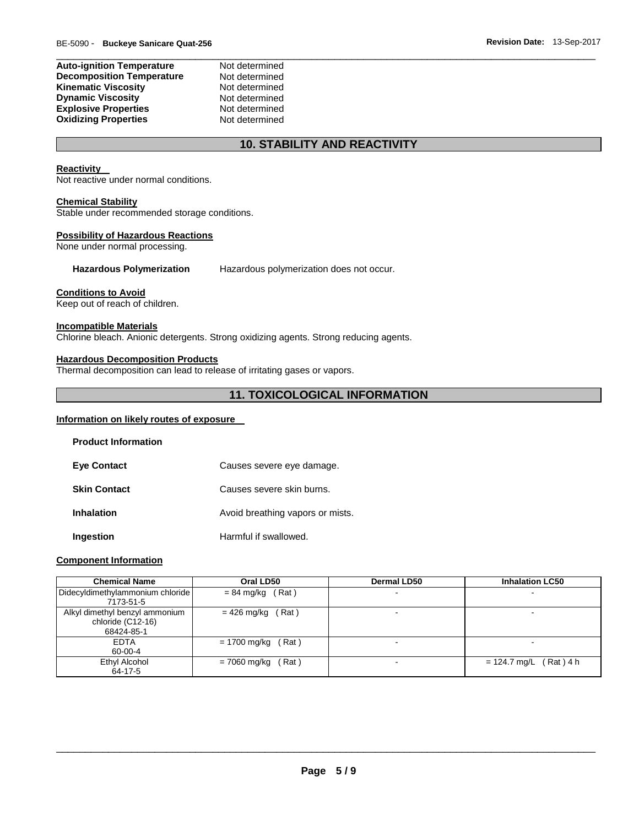#### **Auto-ignition Temperature** Not determined **Decomposition Temperature** Not determined **Kinematic Viscosity Not determined Dynamic Viscosity Not determined Explosive Properties Not determined**<br> **Oxidizing Properties Not determined Oxidizing Properties**

# **10. STABILITY AND REACTIVITY**

\_\_\_\_\_\_\_\_\_\_\_\_\_\_\_\_\_\_\_\_\_\_\_\_\_\_\_\_\_\_\_\_\_\_\_\_\_\_\_\_\_\_\_\_\_\_\_\_\_\_\_\_\_\_\_\_\_\_\_\_\_\_\_\_\_\_\_\_\_\_\_\_\_\_\_\_\_\_\_\_\_\_\_\_\_\_\_\_\_\_\_\_\_

### **Reactivity**

Not reactive under normal conditions.

#### **Chemical Stability**

Stable under recommended storage conditions.

### **Possibility of Hazardous Reactions**

None under normal processing.

**Hazardous Polymerization** Hazardous polymerization does not occur.

#### **Conditions to Avoid**

Keep out of reach of children.

#### **Incompatible Materials**

Chlorine bleach. Anionic detergents. Strong oxidizing agents. Strong reducing agents.

#### **Hazardous Decomposition Products**

Thermal decomposition can lead to release of irritating gases or vapors.

### **11. TOXICOLOGICAL INFORMATION**

# **Information on likely routes of exposure**

| <b>Product Information</b> |                                  |
|----------------------------|----------------------------------|
| <b>Eye Contact</b>         | Causes severe eye damage.        |
| <b>Skin Contact</b>        | Causes severe skin burns.        |
| Inhalation                 | Avoid breathing vapors or mists. |
| Ingestion                  | Harmful if swallowed.            |

#### **Component Information**

| <b>Chemical Name</b>             | Oral LD50            | <b>Dermal LD50</b> | <b>Inhalation LC50</b>   |
|----------------------------------|----------------------|--------------------|--------------------------|
| Didecyldimethylammonium chloride | $= 84$ mg/kg (Rat)   | -                  |                          |
| 7173-51-5                        |                      |                    |                          |
| Alkyl dimethyl benzyl ammonium   | Rat)<br>= 426 mg/kg  |                    |                          |
| chloride (C12-16)                |                      |                    |                          |
| 68424-85-1                       |                      |                    |                          |
| <b>EDTA</b>                      | $= 1700$ mg/kg (Rat) | $\blacksquare$     |                          |
| 60-00-4                          |                      |                    |                          |
| Ethyl Alcohol                    | $= 7060$ mg/kg (Rat) |                    | $= 124.7$ mg/L (Rat) 4 h |
| 64-17-5                          |                      |                    |                          |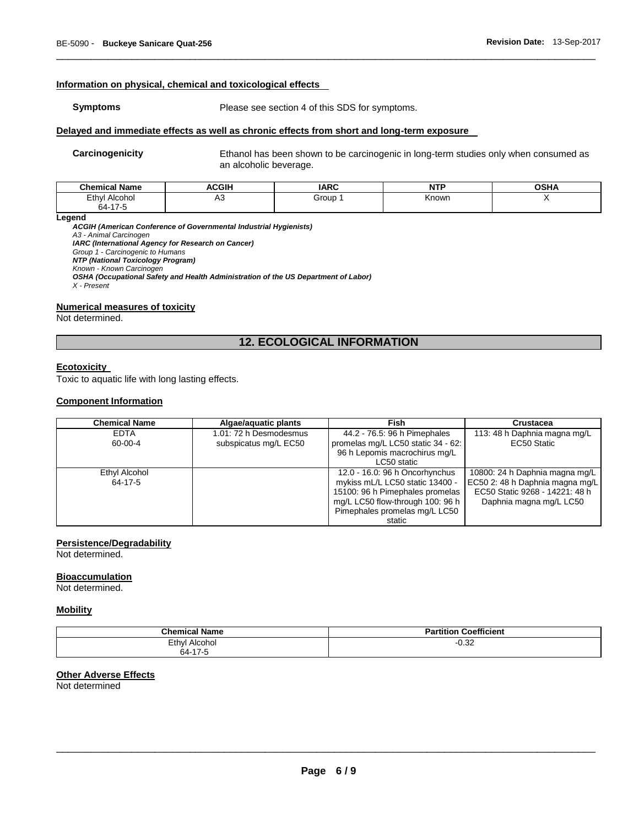#### **Information on physical, chemical and toxicological effects**

**Symptoms** Please see section 4 of this SDS for symptoms.

#### **Delayed and immediate effects as well as chronic effects from short and long-term exposure**

**Carcinogenicity** Ethanol has been shown to be carcinogenic in long-term studies only when consumed as an alcoholic beverage.

| <b>Chemical Name</b>                             | <b>ACGIH</b> | <b>IARC</b> | .<br>. | OSHA |
|--------------------------------------------------|--------------|-------------|--------|------|
| Ethy<br>Alcohol<br>64-17<br>-<br>$\cdot$ $\cdot$ | ∼            | Group       | Known  |      |

\_\_\_\_\_\_\_\_\_\_\_\_\_\_\_\_\_\_\_\_\_\_\_\_\_\_\_\_\_\_\_\_\_\_\_\_\_\_\_\_\_\_\_\_\_\_\_\_\_\_\_\_\_\_\_\_\_\_\_\_\_\_\_\_\_\_\_\_\_\_\_\_\_\_\_\_\_\_\_\_\_\_\_\_\_\_\_\_\_\_\_\_\_

#### **Legend**

*ACGIH (American Conference of Governmental Industrial Hygienists) A3 - Animal Carcinogen IARC (International Agency for Research on Cancer) Group 1 - Carcinogenic to Humans NTP (National Toxicology Program) Known - Known Carcinogen OSHA (Occupational Safety and Health Administration of the US Department of Labor) X - Present* 

#### **Numerical measures of toxicity**

Not determined.

# **12. ECOLOGICAL INFORMATION**

# **Ecotoxicity**

Toxic to aquatic life with long lasting effects.

#### **Component Information**

| <b>Chemical Name</b> | Algae/aquatic plants   | Fish                               | <b>Crustacea</b>                |
|----------------------|------------------------|------------------------------------|---------------------------------|
| <b>EDTA</b>          | 1.01: 72 h Desmodesmus | 44.2 - 76.5: 96 h Pimephales       | 113: 48 h Daphnia magna mg/L    |
| 60-00-4              | subspicatus mg/L EC50  | promelas mg/L LC50 static 34 - 62: | EC50 Static                     |
|                      |                        | 96 h Lepomis macrochirus mg/L      |                                 |
|                      |                        | LC50 static                        |                                 |
| Ethyl Alcohol        |                        | 12.0 - 16.0: 96 h Oncorhynchus     | 10800: 24 h Daphnia magna mg/L  |
| 64-17-5              |                        | mykiss mL/L LC50 static 13400 -    | EC50 2: 48 h Daphnia magna mg/L |
|                      |                        | 15100: 96 h Pimephales promelas    | EC50 Static 9268 - 14221: 48 h  |
|                      |                        | mg/L LC50 flow-through 100: 96 h   | Daphnia magna mg/L LC50         |
|                      |                        | Pimephales promelas mg/L LC50      |                                 |
|                      |                        | static                             |                                 |

#### **Persistence/Degradability**

Not determined.

#### **Bioaccumulation**

Not determined.

#### **Mobility**

| <b>Chemical Name</b>  | Coefficient<br>$-1$<br>artition |
|-----------------------|---------------------------------|
| Ethyl<br>Alcohol<br>. | 0.32                            |
| 64-17-5               |                                 |

#### **Other Adverse Effects**

Not determined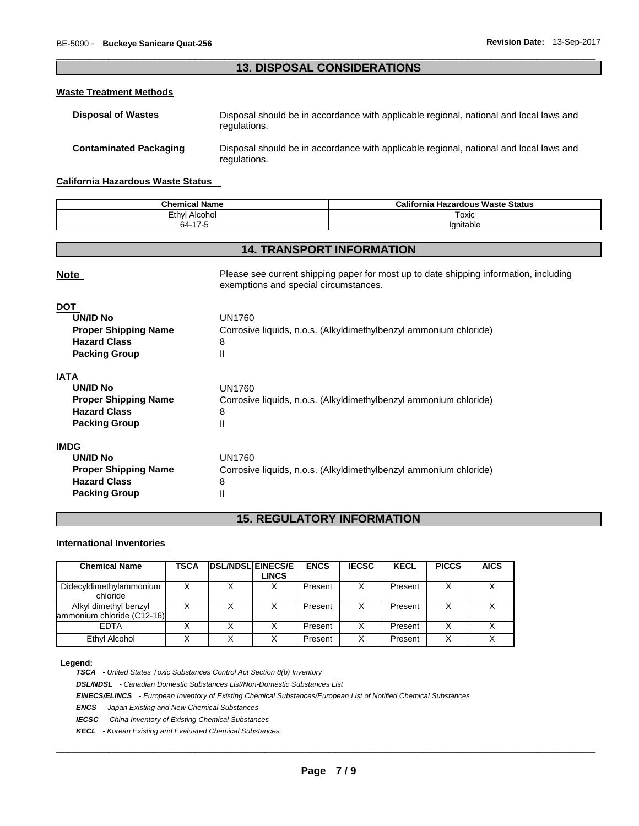# \_\_\_\_\_\_\_\_\_\_\_\_\_\_\_\_\_\_\_\_\_\_\_\_\_\_\_\_\_\_\_\_\_\_\_\_\_\_\_\_\_\_\_\_\_\_\_\_\_\_\_\_\_\_\_\_\_\_\_\_\_\_\_\_\_\_\_\_\_\_\_\_\_\_\_\_\_\_\_\_\_\_\_\_\_\_\_\_\_\_\_\_\_ **13. DISPOSAL CONSIDERATIONS**

#### **Waste Treatment Methods**

| <b>Disposal of Wastes</b>     | Disposal should be in accordance with applicable regional, national and local laws and<br>regulations. |
|-------------------------------|--------------------------------------------------------------------------------------------------------|
| <b>Contaminated Packaging</b> | Disposal should be in accordance with applicable regional, national and local laws and<br>regulations. |

#### **California Hazardous Waste Status**

| <b>Chemical Name</b> | <b>California</b><br>ا Hazardous Waste Status |  |
|----------------------|-----------------------------------------------|--|
| Ethyl<br>Alcohol     | Toxic<br>____                                 |  |
| 47r<br>$\sim$<br>า4- | Ianitable                                     |  |

# **14. TRANSPORT INFORMATION**

| <b>Note</b>                                                                                                 | Please see current shipping paper for most up to date shipping information, including<br>exemptions and special circumstances. |
|-------------------------------------------------------------------------------------------------------------|--------------------------------------------------------------------------------------------------------------------------------|
| <b>DOT</b><br><b>UN/ID No</b><br><b>Proper Shipping Name</b><br><b>Hazard Class</b><br><b>Packing Group</b> | UN1760<br>Corrosive liquids, n.o.s. (Alkyldimethylbenzyl ammonium chloride)<br>8<br>Ш                                          |
| <b>IATA</b><br>UN/ID No<br><b>Proper Shipping Name</b><br><b>Hazard Class</b><br><b>Packing Group</b>       | UN1760<br>Corrosive liquids, n.o.s. (Alkyldimethylbenzyl ammonium chloride)<br>8<br>Ш                                          |
| <b>IMDG</b><br>UN/ID No<br><b>Proper Shipping Name</b><br><b>Hazard Class</b><br><b>Packing Group</b>       | <b>UN1760</b><br>Corrosive liquids, n.o.s. (Alkyldimethylbenzyl ammonium chloride)<br>8<br>Ш                                   |

# **15. REGULATORY INFORMATION**

### **International Inventories**

| <b>Chemical Name</b>                                | TSCA | <b>DSL/NDSL EINECS/E</b> | <b>LINCS</b> | <b>ENCS</b> | <b>IECSC</b> | <b>KECL</b> | <b>PICCS</b> | <b>AICS</b> |
|-----------------------------------------------------|------|--------------------------|--------------|-------------|--------------|-------------|--------------|-------------|
| Didecyldimethylammonium<br>chloride                 |      |                          |              | Present     | X            | Present     | Χ            | v           |
| Alkyl dimethyl benzyl<br>ammonium chloride (C12-16) |      | Χ                        |              | Present     | х            | Present     | Χ            |             |
| <b>FDTA</b>                                         |      | X                        |              | Present     | x            | Present     | Χ            |             |
| Ethyl Alcohol                                       |      | Х                        |              | Present     | х            | Present     | Χ            |             |

#### **Legend:**

*TSCA - United States Toxic Substances Control Act Section 8(b) Inventory* 

*DSL/NDSL - Canadian Domestic Substances List/Non-Domestic Substances List* 

*EINECS/ELINCS - European Inventory of Existing Chemical Substances/European List of Notified Chemical Substances* 

*ENCS - Japan Existing and New Chemical Substances* 

*IECSC - China Inventory of Existing Chemical Substances* 

*KECL - Korean Existing and Evaluated Chemical Substances*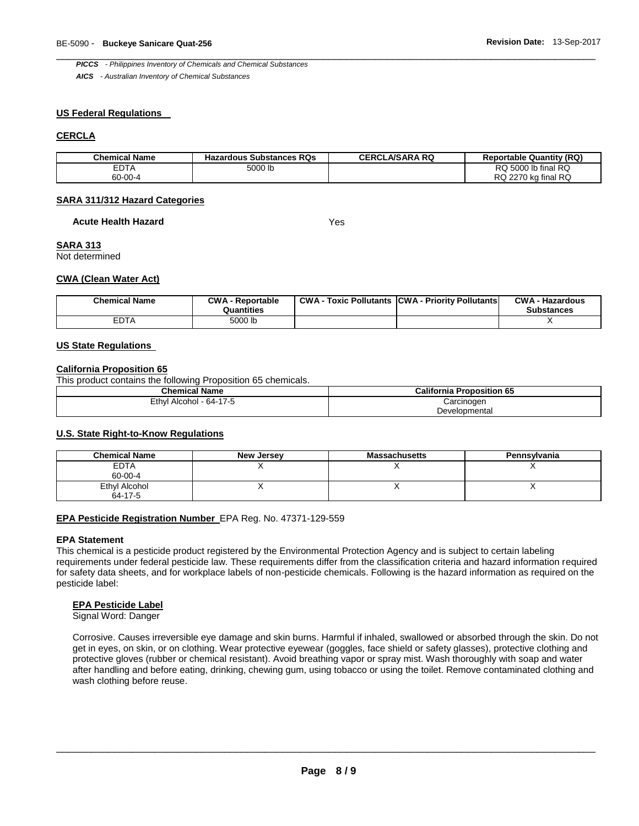\_\_\_\_\_\_\_\_\_\_\_\_\_\_\_\_\_\_\_\_\_\_\_\_\_\_\_\_\_\_\_\_\_\_\_\_\_\_\_\_\_\_\_\_\_\_\_\_\_\_\_\_\_\_\_\_\_\_\_\_\_\_\_\_\_\_\_\_\_\_\_\_\_\_\_\_\_\_\_\_\_\_\_\_\_\_\_\_\_\_\_\_\_ *PICCS - Philippines Inventory of Chemicals and Chemical Substances* 

*AICS - Australian Inventory of Chemical Substances* 

#### **US Federal Regulations**

#### **CERCLA**

| <b>Chemical Name</b> | <b>Hazardous Substances RQs</b> | <b>CERCLA/SARA RQ</b> | <b>Reportable Quantity (RQ)</b> |
|----------------------|---------------------------------|-----------------------|---------------------------------|
| EDTA                 | 5000 lb                         |                       | RQ 5000 lb final RQ             |
| 60-00-4              |                                 |                       | RQ 2270 kg final RQ             |

#### **SARA 311/312 Hazard Categories**

#### **Acute Health Hazard** Yes

#### **SARA 313**

Not determined

#### **CWA (Clean Water Act)**

| <b>Chemical Name</b> | <b>CWA - Reportable</b><br>Quantities | CWA- | <b>CWA - Hazardous</b><br><b>Substances</b> |
|----------------------|---------------------------------------|------|---------------------------------------------|
| <b>EDTA</b>          | 5000 lb                               |      |                                             |

#### **US State Regulations**

#### **California Proposition 65**

This product contains the following Proposition 65 chemicals.

| <b>Chemical Name</b>    | <b>California Proposition 65</b> |
|-------------------------|----------------------------------|
| Ethyl Alcohol - 64-17-5 | Carcinogen                       |
|                         | Developmental                    |

#### **U.S. State Right-to-Know Regulations**

| <b>Chemical Name</b> | <b>New Jersey</b> | <b>Massachusetts</b> | Pennsylvania |
|----------------------|-------------------|----------------------|--------------|
| <b>EDTA</b>          |                   |                      |              |
| 60-00-4              |                   |                      |              |
| Ethyl Alcohol        |                   |                      |              |
| 64-17-5              |                   |                      |              |

#### **EPA Pesticide Registration Number** EPA Reg. No. 47371-129-559

#### **EPA Statement**

This chemical is a pesticide product registered by the Environmental Protection Agency and is subject to certain labeling requirements under federal pesticide law. These requirements differ from the classification criteria and hazard information required for safety data sheets, and for workplace labels of non-pesticide chemicals. Following is the hazard information as required on the pesticide label:

#### **EPA Pesticide Label**

Signal Word: Danger

Corrosive. Causes irreversible eye damage and skin burns. Harmful if inhaled, swallowed or absorbed through the skin. Do not get in eyes, on skin, or on clothing. Wear protective eyewear (goggles, face shield or safety glasses), protective clothing and protective gloves (rubber or chemical resistant). Avoid breathing vapor or spray mist. Wash thoroughly with soap and water after handling and before eating, drinking, chewing gum, using tobacco or using the toilet. Remove contaminated clothing and wash clothing before reuse.